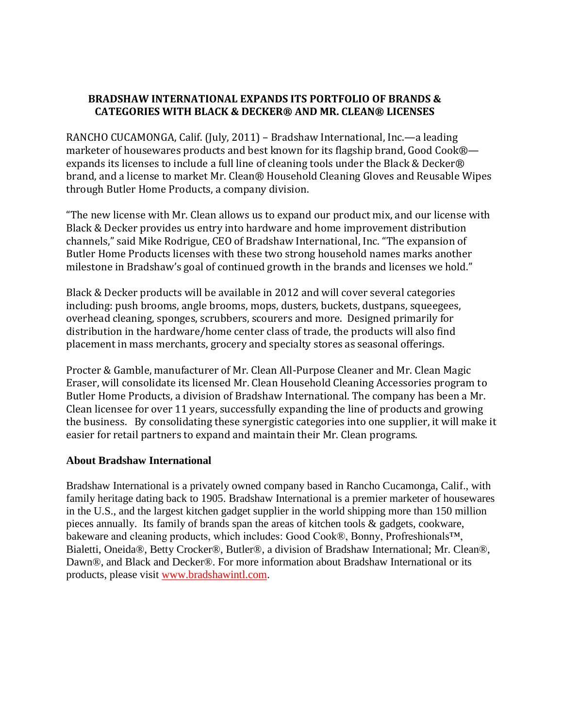## **BRADSHAW INTERNATIONAL EXPANDS ITS PORTFOLIO OF BRANDS & CATEGORIES WITH BLACK & DECKER® AND MR. CLEAN® LICENSES**

RANCHO CUCAMONGA, Calif. (July, 2011) – Bradshaw International, Inc.—a leading marketer of housewares products and best known for its flagship brand, Good Cook® expands its licenses to include a full line of cleaning tools under the Black & Decker® brand, and a license to market Mr. Clean® Household Cleaning Gloves and Reusable Wipes through Butler Home Products, a company division.

"The new license with Mr. Clean allows us to expand our product mix, and our license with Black & Decker provides us entry into hardware and home improvement distribution channels," said Mike Rodrigue, CEO of Bradshaw International, Inc. "The expansion of Butler Home Products licenses with these two strong household names marks another milestone in Bradshaw's goal of continued growth in the brands and licenses we hold."

Black & Decker products will be available in 2012 and will cover several categories including: push brooms, angle brooms, mops, dusters, buckets, dustpans, squeegees, overhead cleaning, sponges, scrubbers, scourers and more. Designed primarily for distribution in the hardware/home center class of trade, the products will also find placement in mass merchants, grocery and specialty stores as seasonal offerings.

Procter & Gamble, manufacturer of Mr. Clean All-Purpose Cleaner and Mr. Clean Magic Eraser, will consolidate its licensed Mr. Clean Household Cleaning Accessories program to Butler Home Products, a division of Bradshaw International. The company has been a Mr. Clean licensee for over 11 years, successfully expanding the line of products and growing the business. By consolidating these synergistic categories into one supplier, it will make it easier for retail partners to expand and maintain their Mr. Clean programs.

## **About Bradshaw International**

Bradshaw International is a privately owned company based in Rancho Cucamonga, Calif., with family heritage dating back to 1905. Bradshaw International is a premier marketer of housewares in the U.S., and the largest kitchen gadget supplier in the world shipping more than 150 million pieces annually. Its family of brands span the areas of kitchen tools & gadgets, cookware, bakeware and cleaning products, which includes: Good Cook®, Bonny, Profreshionals™, Bialetti, Oneida®, Betty Crocker®, Butler®, a division of Bradshaw International; Mr. Clean®, Dawn®, and Black and Decker®. For more information about Bradshaw International or its products, please visit [www.bradshawintl.com.](http://www.bradshawintl.com/)